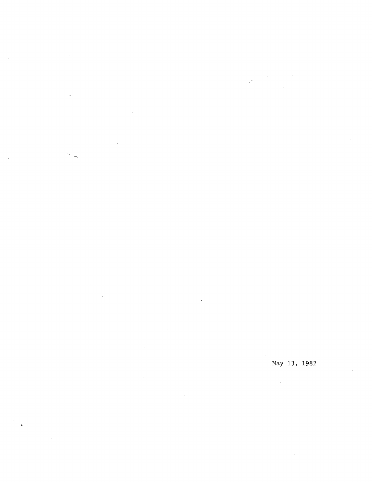s.

 $\mathcal{L}$ 

 $\bar{p}$ 

 $\ddot{\phantom{a}}$ 

 $\frac{1}{4}$   $\sim$ 

May 13, 1982

 $\hat{\mathcal{E}}$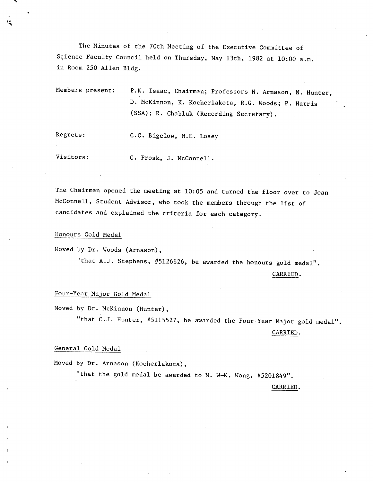The Minutes of the 70th Meeting of the Executive Committee of Science Faculty Council held on Thursday, May 13th, 1982 at 10:00 a.m. in Room 250 Allen Bldg.

Members present: P.K. Isaac, Chairman; Professors N. Arnason, N. Hunter, D. McKinnon, K. Kocherlakota, R.G. Woods; P. Harris (SSA); R. Chabluk (Recording Secretary).

Regrets: C.C. Bigelow, N.E. Losey

Visitors: C. Prosk, J. McConnell.

The Chairman opened the meeting at 10:05 and turned the floor over to Joan McConnell, Student Advisor, who took the members through the list of candidates and explained the criteria for each category.

Honours Gold Medal

Moved by Dr. Woods (Arnason),

"that A.J. Stephens, #5126626, be awarded the honours gold medal".

CARRIED.

## Four-Year Major Gold Medal

Moved by Dr. McKinnon (Hunter),

"that C.J. Hunter, #5115527, be awarded the Four-Year Major gold medal".

## CARRIED.

## General Gold Medal

Moved by Dr. Arnason (Kocherlakota),

"that the gold medal be awarded to M. W-K. Wong, #5201849".

CARRIED.